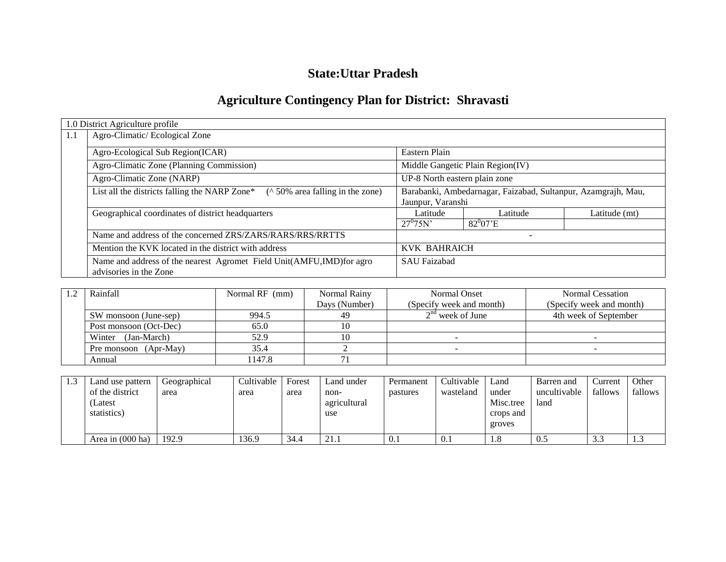# **State:Uttar Pradesh**

# **Agriculture Contingency Plan for District: Shravasti**

|     | 1.0 District Agriculture profile                                                           |                                                               |                                  |               |  |  |  |  |  |
|-----|--------------------------------------------------------------------------------------------|---------------------------------------------------------------|----------------------------------|---------------|--|--|--|--|--|
| 1.1 | Agro-Climatic/Ecological Zone                                                              |                                                               |                                  |               |  |  |  |  |  |
|     | Agro-Ecological Sub Region(ICAR)                                                           | Eastern Plain                                                 |                                  |               |  |  |  |  |  |
|     | Agro-Climatic Zone (Planning Commission)                                                   |                                                               | Middle Gangetic Plain Region(IV) |               |  |  |  |  |  |
|     | Agro-Climatic Zone (NARP)                                                                  | UP-8 North eastern plain zone                                 |                                  |               |  |  |  |  |  |
|     | $($ \landom 50% area falling in the zone)<br>List all the districts falling the NARP Zone* | Barabanki, Ambedarnagar, Faizabad, Sultanpur, Azamgrajh, Mau, |                                  |               |  |  |  |  |  |
|     |                                                                                            | Jaunpur, Varanshi                                             |                                  |               |  |  |  |  |  |
|     | Geographical coordinates of district headquarters                                          | Latitude                                                      | Latitude                         | Latitude (mt) |  |  |  |  |  |
|     |                                                                                            | $27^{0}75N'$                                                  | $82^{0}07'E$                     |               |  |  |  |  |  |
|     | Name and address of the concerned ZRS/ZARS/RARS/RRS/RRTTS                                  |                                                               | $\overline{\phantom{a}}$         |               |  |  |  |  |  |
|     | Mention the KVK located in the district with address                                       | <b>KVK BAHRAICH</b>                                           |                                  |               |  |  |  |  |  |
|     | Name and address of the nearest Agromet Field Unit(AMFU,IMD)for agro                       | <b>SAU Faizabad</b>                                           |                                  |               |  |  |  |  |  |
|     | advisories in the Zone                                                                     |                                                               |                                  |               |  |  |  |  |  |

| Rainfall               | Normal RF (mm) | Normal Rainy  | Normal Onset             | <b>Normal Cessation</b>  |
|------------------------|----------------|---------------|--------------------------|--------------------------|
|                        |                | Days (Number) | (Specify week and month) | (Specify week and month) |
| SW monsoon (June-sep)  | 994.5          | 49            | $2nd$ week of June       | 4th week of September    |
| Post monsoon (Oct-Dec) | 65.0           |               |                          |                          |
| Winter (Jan-March)     | 52.9           |               |                          |                          |
| Pre monsoon (Apr-May)  | 35.4           |               |                          |                          |
| Annual                 | 147.8          |               |                          |                          |

| 1.3 | Land use pattern<br>of the district<br>Latest<br>statistics) | Geographical<br>area | Cultivable<br>area | Forest<br>area | Land under<br>non-<br>agricultural<br>use | Permanent<br>pastures | Cultivable<br>wasteland | Land<br>under<br>Misc.tree<br>crops and<br>groves | Barren and<br>uncultivable<br>land | Current<br>fallows | Other<br>fallows |
|-----|--------------------------------------------------------------|----------------------|--------------------|----------------|-------------------------------------------|-----------------------|-------------------------|---------------------------------------------------|------------------------------------|--------------------|------------------|
|     | Area in (000 ha)                                             | 192.9                | 136.9              | 34.4           | 21.1                                      | 0.1                   | V. I                    | 1.8                                               | 0.5                                | $\cap$<br>3.3      | 1.J              |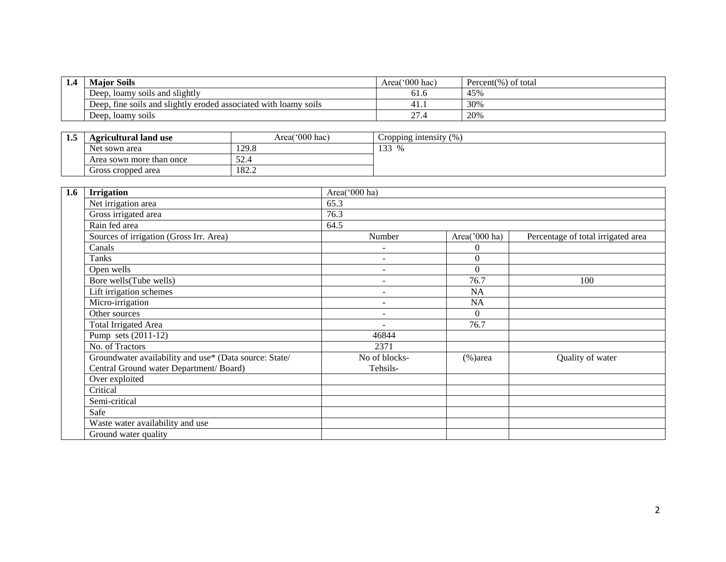| 1.4 | <b>Major Soils</b>                                               | $^{\prime\prime}000$ hac)<br>Area | Percent(%) of total |
|-----|------------------------------------------------------------------|-----------------------------------|---------------------|
|     | . loamy soils and slightly<br>Deep.                              | 01.0                              | 45%                 |
|     | Deep, fine soils and slightly eroded associated with loamy soils | 41.                               | 30%                 |
|     | Deep, loamy soils                                                | $\sim$<br>21.4                    | 20%                 |

| 1.5 | <b>Agricultural land use</b> | Area('000 hac) | Cropping intensity $(\% )$ |  |
|-----|------------------------------|----------------|----------------------------|--|
|     | Net sown area                | 129.8          | 133<br>$\%$                |  |
|     | Area sown more than once     | 52.4           |                            |  |
|     | Gross cropped area           | 182.2          |                            |  |

| 1.6 | <b>Irrigation</b>                                      | Area('000 ha)            |                  |                                    |  |  |  |  |
|-----|--------------------------------------------------------|--------------------------|------------------|------------------------------------|--|--|--|--|
|     | Net irrigation area                                    | 65.3                     |                  |                                    |  |  |  |  |
|     | Gross irrigated area                                   | 76.3                     |                  |                                    |  |  |  |  |
|     | Rain fed area                                          | 64.5                     |                  |                                    |  |  |  |  |
|     | Sources of irrigation (Gross Irr. Area)                | Number                   | Area( $000$ ha)  | Percentage of total irrigated area |  |  |  |  |
|     | Canals                                                 | $\overline{\phantom{a}}$ | $\theta$         |                                    |  |  |  |  |
|     | Tanks                                                  | $\overline{\phantom{a}}$ | $\boldsymbol{0}$ |                                    |  |  |  |  |
|     | Open wells                                             | $\overline{\phantom{a}}$ | $\Omega$         |                                    |  |  |  |  |
|     | Bore wells(Tube wells)                                 |                          | 76.7             | 100                                |  |  |  |  |
|     | Lift irrigation schemes                                | $\overline{\phantom{a}}$ | NA               |                                    |  |  |  |  |
|     | Micro-irrigation                                       | $\overline{\phantom{a}}$ | NA               |                                    |  |  |  |  |
|     | Other sources                                          | $\overline{\phantom{a}}$ | $\Omega$         |                                    |  |  |  |  |
|     | <b>Total Irrigated Area</b>                            |                          | 76.7             |                                    |  |  |  |  |
|     | Pump sets $(2011-12)$                                  | 46844                    |                  |                                    |  |  |  |  |
|     | No. of Tractors                                        | 2371                     |                  |                                    |  |  |  |  |
|     | Groundwater availability and use* (Data source: State/ | No of blocks-            | $(\% )$ area     | Quality of water                   |  |  |  |  |
|     | Central Ground water Department/ Board)                | Tehsils-                 |                  |                                    |  |  |  |  |
|     | Over exploited                                         |                          |                  |                                    |  |  |  |  |
|     | Critical                                               |                          |                  |                                    |  |  |  |  |
|     | Semi-critical                                          |                          |                  |                                    |  |  |  |  |
|     | Safe                                                   |                          |                  |                                    |  |  |  |  |
|     | Waste water availability and use                       |                          |                  |                                    |  |  |  |  |
|     | Ground water quality                                   |                          |                  |                                    |  |  |  |  |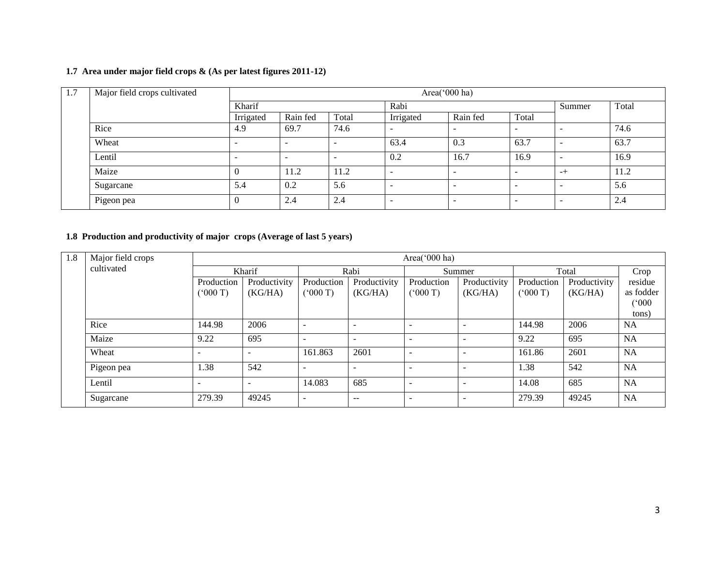#### **1.7 Area under major field crops & (As per latest figures 2011-12)**

| 1.7 | Major field crops cultivated | Area('000 ha)            |          |       |           |                          |                          |      |       |  |
|-----|------------------------------|--------------------------|----------|-------|-----------|--------------------------|--------------------------|------|-------|--|
|     |                              | Kharif                   |          |       | Rabi      |                          |                          |      | Total |  |
|     |                              | Irrigated                | Rain fed | Total | Irrigated | Rain fed                 | Total                    |      |       |  |
|     | Rice                         | 4.9                      | 69.7     | 74.6  |           |                          | $\overline{\phantom{0}}$ |      | 74.6  |  |
|     | Wheat                        | $\overline{\phantom{a}}$ |          |       | 63.4      | 0.3                      | 63.7                     | -    | 63.7  |  |
|     | Lentil                       | $\overline{\phantom{a}}$ | -        |       | 0.2       | 16.7                     | 16.9                     | -    | 16.9  |  |
|     | Maize                        |                          | 11.2     | 11.2  |           | -                        | $\overline{\phantom{0}}$ | $-+$ | 11.2  |  |
|     | Sugarcane                    | 5.4                      | 0.2      | 5.6   |           | -                        | $\overline{\phantom{0}}$ |      | 5.6   |  |
|     | Pigeon pea                   |                          | 2.4      | 2.4   |           | $\overline{\phantom{0}}$ | $\overline{\phantom{0}}$ |      | 2.4   |  |

#### **1.8 Production and productivity of major crops (Average of last 5 years)**

| 1.8 | Major field crops | Area( $000$ ha)          |              |                          |                          |                          |              |            |              |           |  |  |
|-----|-------------------|--------------------------|--------------|--------------------------|--------------------------|--------------------------|--------------|------------|--------------|-----------|--|--|
|     | cultivated        |                          | Kharif       | Rabi                     |                          | Summer                   |              | Total      |              | Crop      |  |  |
|     |                   | Production               | Productivity | Production               | Productivity             | Production               | Productivity | Production | Productivity | residue   |  |  |
|     |                   | (000 T)                  | (KG/HA)      | (000T)                   | (KG/HA)                  | (7000)                   | (KG/HA)      | (000T)     | (KG/HA)      | as fodder |  |  |
|     |                   |                          |              |                          |                          |                          |              |            |              | (°000)    |  |  |
|     |                   |                          |              |                          |                          |                          |              |            |              | tons)     |  |  |
|     | Rice              | 144.98                   | 2006         |                          | -                        |                          |              | 144.98     | 2006         | <b>NA</b> |  |  |
|     | Maize             | 9.22                     | 695          | $\overline{\phantom{a}}$ | $\overline{\phantom{0}}$ | $\overline{\phantom{0}}$ |              | 9.22       | 695          | <b>NA</b> |  |  |
|     | Wheat             | $\overline{\phantom{0}}$ |              | 161.863                  | 2601                     | $\overline{\phantom{a}}$ |              | 161.86     | 2601         | <b>NA</b> |  |  |
|     | Pigeon pea        | 1.38                     | 542          |                          | $\overline{\phantom{0}}$ | $\overline{\phantom{0}}$ |              | 1.38       | 542          | <b>NA</b> |  |  |
|     | Lentil            | $\overline{\phantom{a}}$ | ۰            | 14.083                   | 685                      | $\overline{\phantom{a}}$ |              | 14.08      | 685          | <b>NA</b> |  |  |
|     | Sugarcane         | 279.39                   | 49245        | $\overline{\phantom{a}}$ | $- -$                    | $\overline{\phantom{0}}$ |              | 279.39     | 49245        | NA        |  |  |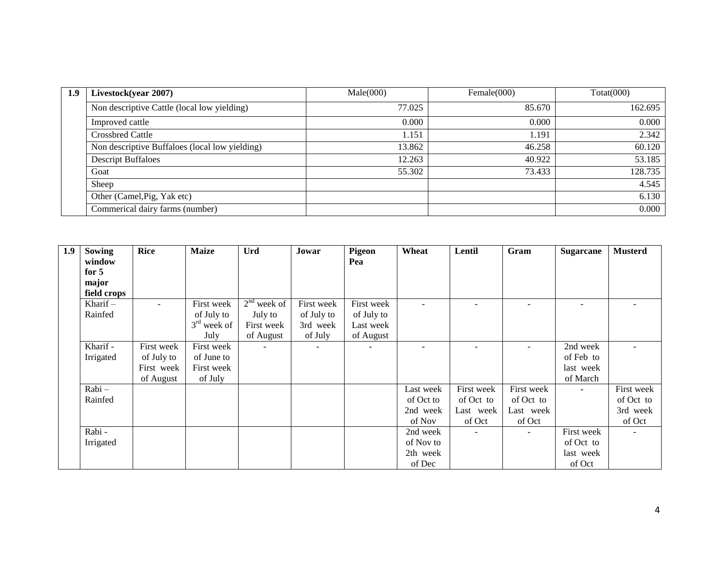| 1.9 | Livestock(year 2007)                           | Male(000) | Female(000) | $\text{Total}(000)$ |  |
|-----|------------------------------------------------|-----------|-------------|---------------------|--|
|     | Non descriptive Cattle (local low yielding)    | 77.025    | 85.670      | 162.695             |  |
|     | Improved cattle                                | 0.000     | 0.000       | 0.000               |  |
|     | <b>Crossbred Cattle</b>                        | 1.151     | 1.191       | 2.342               |  |
|     | Non descriptive Buffaloes (local low yielding) | 13.862    | 46.258      | 60.120              |  |
|     | <b>Descript Buffaloes</b>                      | 12.263    | 40.922      | 53.185              |  |
|     | Goat                                           | 55.302    | 73.433      | 128.735             |  |
|     | Sheep                                          |           |             | 4.545               |  |
|     | Other (Camel, Pig, Yak etc)                    |           |             | 6.130               |  |
|     | Commerical dairy farms (number)                |           |             | 0.000               |  |

| 1.9 | Sowing      | <b>Rice</b> | <b>Maize</b>  | Urd           | Jowar      | <b>Pigeon</b> | Wheat     | Lentil     | Gram                     | <b>Sugarcane</b>         | <b>Musterd</b> |
|-----|-------------|-------------|---------------|---------------|------------|---------------|-----------|------------|--------------------------|--------------------------|----------------|
|     | window      |             |               |               |            | Pea           |           |            |                          |                          |                |
|     | for $5$     |             |               |               |            |               |           |            |                          |                          |                |
|     | major       |             |               |               |            |               |           |            |                          |                          |                |
|     | field crops |             |               |               |            |               |           |            |                          |                          |                |
|     | Kharif $-$  | $\sim$      | First week    | $2nd$ week of | First week | First week    |           |            |                          | $\overline{\phantom{0}}$ |                |
|     | Rainfed     |             | of July to    | July to       | of July to | of July to    |           |            |                          |                          |                |
|     |             |             | $3rd$ week of | First week    | 3rd week   | Last week     |           |            |                          |                          |                |
|     |             |             | July          | of August     | of July    | of August     |           |            |                          |                          |                |
|     | Kharif -    | First week  | First week    | $\sim$        | $\sim$     |               |           |            | $\overline{\phantom{0}}$ | 2nd week                 |                |
|     | Irrigated   | of July to  | of June to    |               |            |               |           |            |                          | of Feb to                |                |
|     |             | First week  | First week    |               |            |               |           |            |                          | last week                |                |
|     |             | of August   | of July       |               |            |               |           |            |                          | of March                 |                |
|     | Rabi-       |             |               |               |            |               | Last week | First week | First week               | $\overline{\phantom{a}}$ | First week     |
|     | Rainfed     |             |               |               |            |               | of Oct to | of Oct to  | of Oct to                |                          | of Oct to      |
|     |             |             |               |               |            |               | 2nd week  | Last week  | Last week                |                          | 3rd week       |
|     |             |             |               |               |            |               | of Nov    | of Oct     | of Oct                   |                          | of Oct         |
|     | Rabi -      |             |               |               |            |               | 2nd week  | $\sim$     | $\overline{\phantom{a}}$ | First week               |                |
|     | Irrigated   |             |               |               |            |               | of Nov to |            |                          | of Oct to                |                |
|     |             |             |               |               |            |               | 2th week  |            |                          | last week                |                |
|     |             |             |               |               |            |               | of Dec    |            |                          | of Oct                   |                |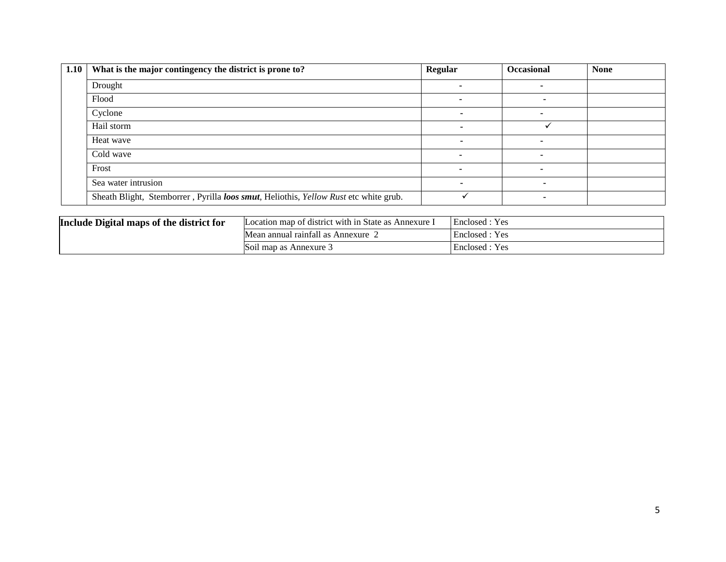| 1.10 | What is the major contingency the district is prone to?                              | <b>Regular</b> | <b>Occasional</b> | <b>None</b> |
|------|--------------------------------------------------------------------------------------|----------------|-------------------|-------------|
|      | Drought                                                                              |                |                   |             |
|      | Flood                                                                                |                |                   |             |
|      | Cyclone                                                                              |                |                   |             |
|      | Hail storm                                                                           |                |                   |             |
|      | Heat wave                                                                            |                |                   |             |
|      | Cold wave                                                                            |                |                   |             |
|      | Frost                                                                                |                |                   |             |
|      | Sea water intrusion                                                                  |                |                   |             |
|      | Sheath Blight, Stemborrer, Pyrilla loos smut, Heliothis, Yellow Rust etc white grub. |                |                   |             |

| Include Digital maps of the district for | Location map of district with in State as Annexure I | Enclosed : Yes |
|------------------------------------------|------------------------------------------------------|----------------|
|                                          | Mean annual rainfall as Annexure $\angle$            | Enclosed: Yes  |
|                                          | Soil map as Annexure                                 | Enclosed : Yes |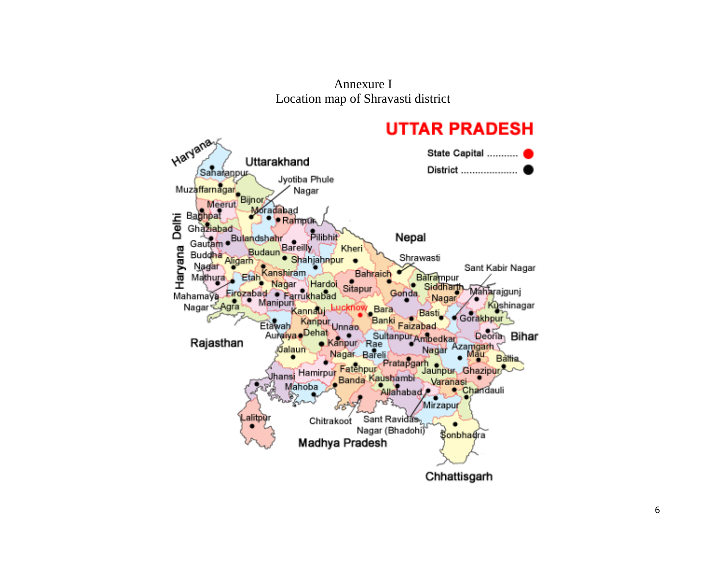Annexure I Location map of Shravasti district

# **UTTAR PRADESH**

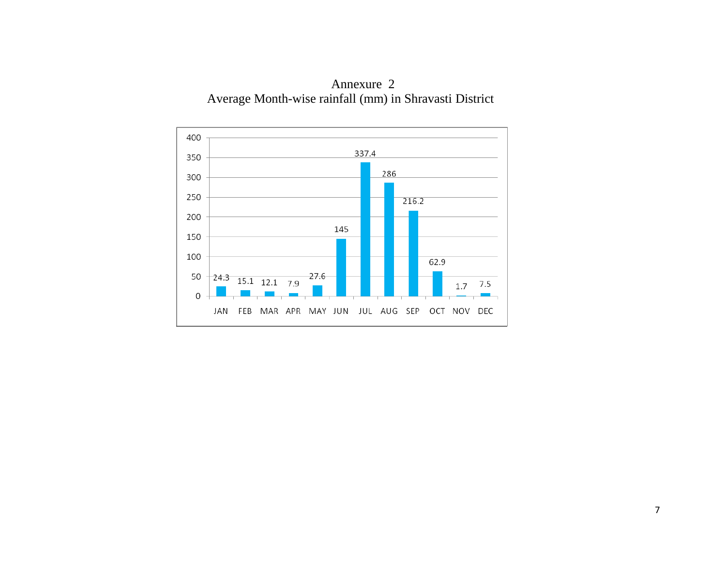

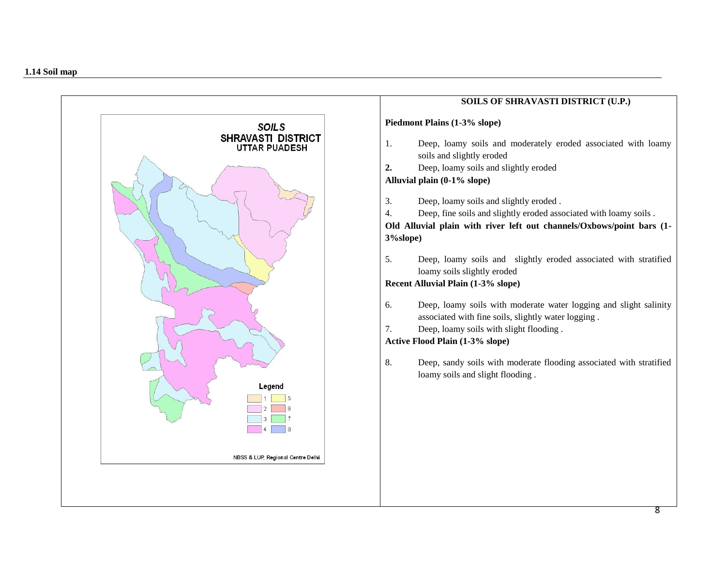

# **SOILS OF SHRAVASTI DISTRICT (U.P.) Piedmont Plains (1-3% slope)**  1. Deep, loamy soils and moderately eroded associated with loamy soils and slightly eroded **2.** Deep, loamy soils and slightly eroded **Alluvial plain (0-1% slope)** 3. Deep, loamy soils and slightly eroded . 4. Deep, fine soils and slightly eroded associated with loamy soils . **Old Alluvial plain with river left out channels/Oxbows/point bars (1- 3%slope)** 5. Deep, loamy soils and slightly eroded associated with stratified loamy soils slightly eroded **Recent Alluvial Plain (1-3% slope)** 6. Deep, loamy soils with moderate water logging and slight salinity associated with fine soils, slightly water logging . 7. Deep, loamy soils with slight flooding . **Active Flood Plain (1-3% slope)** 8. Deep, sandy soils with moderate flooding associated with stratified loamy soils and slight flooding .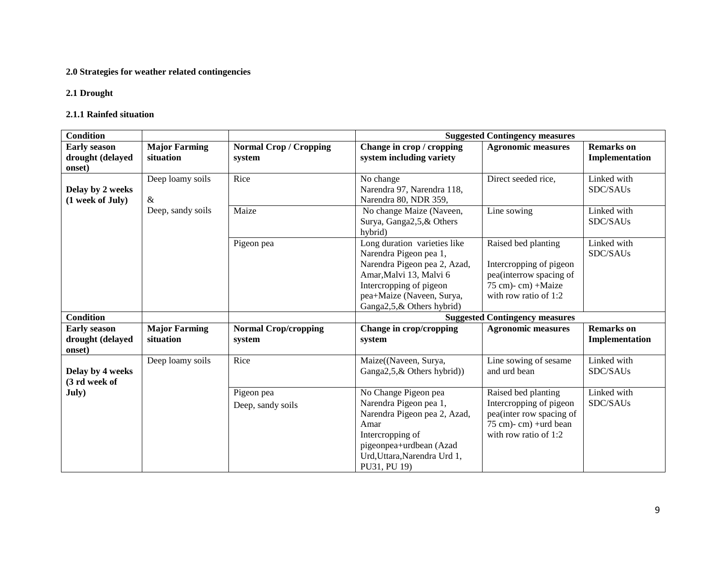## **2.0 Strategies for weather related contingencies**

#### **2.1 Drought**

#### **2.1.1 Rainfed situation**

| <b>Condition</b>    |                      |                               | <b>Suggested Contingency measures</b>       |                                                          |                   |  |
|---------------------|----------------------|-------------------------------|---------------------------------------------|----------------------------------------------------------|-------------------|--|
| <b>Early season</b> | <b>Major Farming</b> | <b>Normal Crop / Cropping</b> | Change in crop / cropping                   | <b>Agronomic measures</b>                                | <b>Remarks</b> on |  |
| drought (delayed    | situation            | system                        | system including variety                    |                                                          | Implementation    |  |
| onset)              |                      |                               |                                             |                                                          |                   |  |
|                     | Deep loamy soils     | Rice                          | No change                                   | Direct seeded rice,                                      | Linked with       |  |
| Delay by 2 weeks    |                      |                               | Narendra 97, Narendra 118,                  |                                                          | SDC/SAUs          |  |
| (1 week of July)    | $\&$                 |                               | Narendra 80, NDR 359,                       |                                                          |                   |  |
|                     | Deep, sandy soils    | Maize                         | No change Maize (Naveen,                    | Line sowing                                              | Linked with       |  |
|                     |                      |                               | Surya, Ganga2,5,& Others                    |                                                          | SDC/SAUs          |  |
|                     |                      |                               | hybrid)                                     |                                                          |                   |  |
|                     |                      | Pigeon pea                    | Long duration varieties like                | Raised bed planting                                      | Linked with       |  |
|                     |                      |                               | Narendra Pigeon pea 1,                      |                                                          | SDC/SAUs          |  |
|                     |                      |                               | Narendra Pigeon pea 2, Azad,                | Intercropping of pigeon                                  |                   |  |
|                     |                      |                               | Amar, Malvi 13, Malvi 6                     | pea(interrow spacing of                                  |                   |  |
|                     |                      |                               | Intercropping of pigeon                     | 75 cm)- cm) +Maize                                       |                   |  |
|                     |                      |                               | pea+Maize (Naveen, Surya,                   | with row ratio of 1:2                                    |                   |  |
|                     |                      |                               | Ganga2,5,& Others hybrid)                   |                                                          |                   |  |
| <b>Condition</b>    |                      |                               |                                             | <b>Suggested Contingency measures</b>                    |                   |  |
| <b>Early season</b> | <b>Major Farming</b> | <b>Normal Crop/cropping</b>   | Change in crop/cropping                     | <b>Agronomic measures</b>                                | <b>Remarks</b> on |  |
| drought (delayed    | situation            | system                        | system                                      |                                                          | Implementation    |  |
| onset)              |                      |                               |                                             |                                                          |                   |  |
|                     | Deep loamy soils     | Rice                          | Maize((Naveen, Surya,                       | Line sowing of sesame                                    | Linked with       |  |
| Delay by 4 weeks    |                      |                               | Ganga2,5, & Others hybrid)                  | and urd bean                                             | SDC/SAUs          |  |
| (3 rd week of       |                      |                               |                                             |                                                          |                   |  |
| July)               |                      | Pigeon pea                    | No Change Pigeon pea                        | Raised bed planting                                      | Linked with       |  |
|                     |                      | Deep, sandy soils             | Narendra Pigeon pea 1,                      | Intercropping of pigeon                                  | SDC/SAUs          |  |
|                     |                      |                               | Narendra Pigeon pea 2, Azad,                | pea(inter row spacing of                                 |                   |  |
|                     |                      |                               | Amar                                        | $75$ cm $)$ - cm $)$ + urd bean<br>with row ratio of 1:2 |                   |  |
|                     |                      |                               | Intercropping of<br>pigeonpea+urdbean (Azad |                                                          |                   |  |
|                     |                      |                               | Urd, Uttara, Narendra Urd 1,                |                                                          |                   |  |
|                     |                      |                               | PU31, PU 19)                                |                                                          |                   |  |
|                     |                      |                               |                                             |                                                          |                   |  |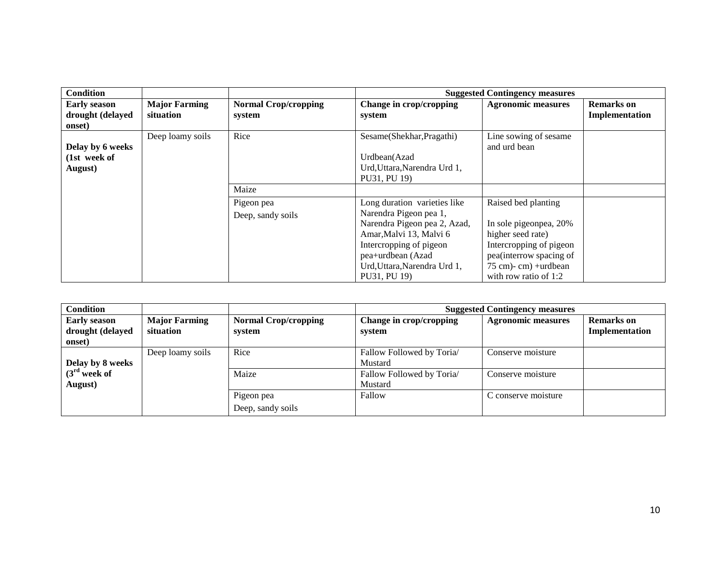| Condition                                         |                                   |                                       |                                                                                                                                                         | <b>Suggested Contingency measures</b>                                                                                                                         |                                     |
|---------------------------------------------------|-----------------------------------|---------------------------------------|---------------------------------------------------------------------------------------------------------------------------------------------------------|---------------------------------------------------------------------------------------------------------------------------------------------------------------|-------------------------------------|
| <b>Early season</b><br>drought (delayed<br>onset) | <b>Major Farming</b><br>situation | <b>Normal Crop/cropping</b><br>system | Change in crop/cropping<br>system                                                                                                                       | <b>Agronomic measures</b>                                                                                                                                     | <b>Remarks</b> on<br>Implementation |
| Delay by 6 weeks<br>(1st week of<br>August)       | Deep loamy soils                  | Rice                                  | Sesame(Shekhar, Pragathi)<br>Urdbean(Azad<br>Urd, Uttara, Narendra Urd 1,<br>PU31, PU 19)                                                               | Line sowing of sesame<br>and urd bean                                                                                                                         |                                     |
|                                                   |                                   | Maize                                 |                                                                                                                                                         |                                                                                                                                                               |                                     |
|                                                   |                                   | Pigeon pea<br>Deep, sandy soils       | Long duration varieties like<br>Narendra Pigeon pea 1,                                                                                                  | Raised bed planting                                                                                                                                           |                                     |
|                                                   |                                   |                                       | Narendra Pigeon pea 2, Azad,<br>Amar, Malvi 13, Malvi 6<br>Intercropping of pigeon<br>pea+urdbean (Azad<br>Urd, Uttara, Narendra Urd 1,<br>PU31, PU 19) | In sole pigeonpea, 20%<br>higher seed rate)<br>Intercropping of pigeon<br>pea(interrow spacing of<br>$75$ cm $)$ - cm $)$ +urdbean<br>with row ratio of $1:2$ |                                     |

| <b>Condition</b>                                  |                                   |                                       |                                      | <b>Suggested Contingency measures</b> |                                     |
|---------------------------------------------------|-----------------------------------|---------------------------------------|--------------------------------------|---------------------------------------|-------------------------------------|
| <b>Early season</b><br>drought (delayed<br>onset) | <b>Major Farming</b><br>situation | <b>Normal Crop/cropping</b><br>system | Change in crop/cropping<br>system    | <b>Agronomic measures</b>             | <b>Remarks</b> on<br>Implementation |
| Delay by 8 weeks                                  | Deep loamy soils                  | Rice                                  | Fallow Followed by Toria/<br>Mustard | Conserve moisture                     |                                     |
| $(3rd$ week of<br>August)                         |                                   | Maize                                 | Fallow Followed by Toria/<br>Mustard | Conserve moisture                     |                                     |
|                                                   |                                   | Pigeon pea                            | Fallow                               | C conserve moisture                   |                                     |
|                                                   |                                   | Deep, sandy soils                     |                                      |                                       |                                     |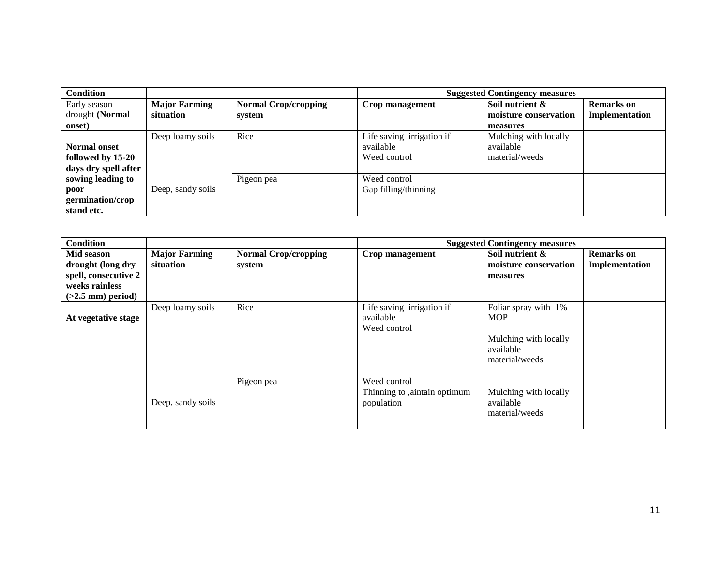| <b>Condition</b>     |                      |                             |                           | <b>Suggested Contingency measures</b> |                       |
|----------------------|----------------------|-----------------------------|---------------------------|---------------------------------------|-----------------------|
| Early season         | <b>Major Farming</b> | <b>Normal Crop/cropping</b> | Crop management           | Soil nutrient &                       | <b>Remarks</b> on     |
| drought (Normal      | situation            | system                      |                           | moisture conservation                 | <b>Implementation</b> |
| onset)               |                      |                             |                           | measures                              |                       |
|                      | Deep loamy soils     | Rice                        | Life saving irrigation if | Mulching with locally                 |                       |
| <b>Normal onset</b>  |                      |                             | available                 | available                             |                       |
| followed by 15-20    |                      |                             | Weed control              | material/weeds                        |                       |
| days dry spell after |                      |                             |                           |                                       |                       |
| sowing leading to    |                      | Pigeon pea                  | Weed control              |                                       |                       |
| poor                 | Deep, sandy soils    |                             | Gap filling/thinning      |                                       |                       |
| germination/crop     |                      |                             |                           |                                       |                       |
| stand etc.           |                      |                             |                           |                                       |                       |

| <b>Condition</b>                      |                                   |                                       |                                                            | <b>Suggested Contingency measures</b>                |                                     |
|---------------------------------------|-----------------------------------|---------------------------------------|------------------------------------------------------------|------------------------------------------------------|-------------------------------------|
| Mid season<br>drought (long dry       | <b>Major Farming</b><br>situation | <b>Normal Crop/cropping</b><br>system | Crop management                                            | Soil nutrient &<br>moisture conservation             | <b>Remarks</b> on<br>Implementation |
| spell, consecutive 2                  |                                   |                                       |                                                            | measures                                             |                                     |
| weeks rainless<br>$(>2.5$ mm) period) |                                   |                                       |                                                            |                                                      |                                     |
| At vegetative stage                   | Deep loamy soils                  | Rice                                  | Life saving irrigation if<br>available<br>Weed control     | Foliar spray with 1%<br><b>MOP</b>                   |                                     |
|                                       |                                   |                                       |                                                            | Mulching with locally<br>available<br>material/weeds |                                     |
|                                       | Deep, sandy soils                 | Pigeon pea                            | Weed control<br>Thinning to ,aintain optimum<br>population | Mulching with locally<br>available<br>material/weeds |                                     |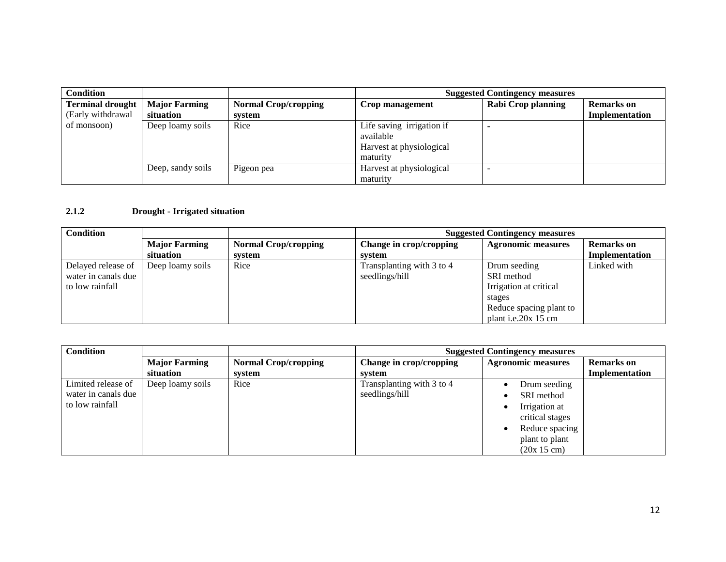| <b>Condition</b>        |                      |                             | <b>Suggested Contingency measures</b> |                    |                   |
|-------------------------|----------------------|-----------------------------|---------------------------------------|--------------------|-------------------|
| <b>Terminal drought</b> | <b>Major Farming</b> | <b>Normal Crop/cropping</b> | Crop management                       | Rabi Crop planning | <b>Remarks</b> on |
| (Early withdrawal       | situation            | system                      |                                       |                    | Implementation    |
| of monsoon)             | Deep loamy soils     | Rice                        | Life saving irrigation if             |                    |                   |
|                         |                      |                             | available                             |                    |                   |
|                         |                      |                             | Harvest at physiological              |                    |                   |
|                         |                      |                             | maturity                              |                    |                   |
|                         | Deep, sandy soils    | Pigeon pea                  | Harvest at physiological              |                    |                   |
|                         |                      |                             | maturity                              |                    |                   |

#### **2.1.2 Drought - Irrigated situation**

| <b>Condition</b>                                             |                                   |                                       | <b>Suggested Contingency measures</b>       |                                                                                                                     |                                            |
|--------------------------------------------------------------|-----------------------------------|---------------------------------------|---------------------------------------------|---------------------------------------------------------------------------------------------------------------------|--------------------------------------------|
|                                                              | <b>Major Farming</b><br>situation | <b>Normal Crop/cropping</b><br>system | Change in crop/cropping<br>system           | <b>Agronomic measures</b>                                                                                           | <b>Remarks</b> on<br><b>Implementation</b> |
| Delayed release of<br>water in canals due<br>to low rainfall | Deep loamy soils                  | Rice                                  | Transplanting with 3 to 4<br>seedlings/hill | Drum seeding<br>SRI method<br>Irrigation at critical<br>stages<br>Reduce spacing plant to<br>plant i.e. $20x$ 15 cm | Linked with                                |

| <b>Condition</b>    |                      |                             | <b>Suggested Contingency measures</b> |                           |                   |
|---------------------|----------------------|-----------------------------|---------------------------------------|---------------------------|-------------------|
|                     | <b>Major Farming</b> | <b>Normal Crop/cropping</b> | Change in crop/cropping               | <b>Agronomic measures</b> | <b>Remarks</b> on |
|                     | situation            | system                      | system                                |                           | Implementation    |
| Limited release of  | Deep loamy soils     | Rice                        | Transplanting with 3 to 4             | Drum seeding              |                   |
| water in canals due |                      |                             | seedlings/hill                        | SRI method                |                   |
| to low rainfall     |                      |                             |                                       | Irrigation at             |                   |
|                     |                      |                             |                                       | critical stages           |                   |
|                     |                      |                             |                                       | Reduce spacing            |                   |
|                     |                      |                             |                                       | plant to plant            |                   |
|                     |                      |                             |                                       | (20x 15 cm)               |                   |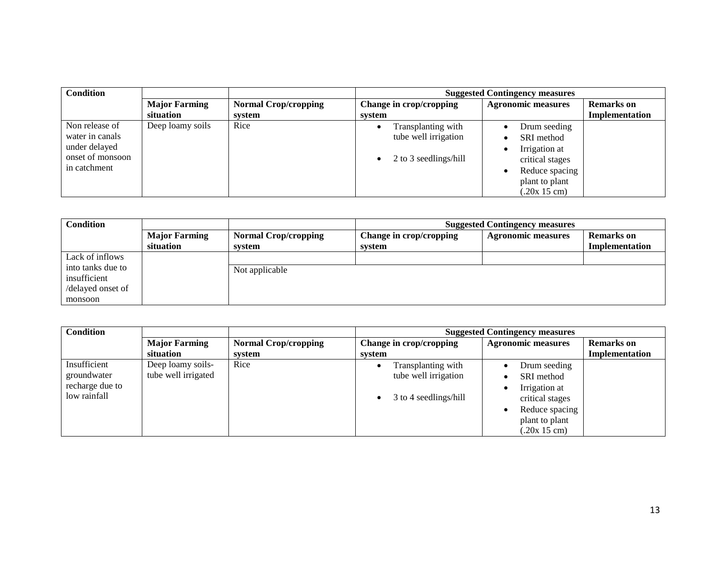| <b>Condition</b>                                                                       |                      |                             | <b>Suggested Contingency measures</b>                               |                                                                                                    |                   |
|----------------------------------------------------------------------------------------|----------------------|-----------------------------|---------------------------------------------------------------------|----------------------------------------------------------------------------------------------------|-------------------|
|                                                                                        | <b>Major Farming</b> | <b>Normal Crop/cropping</b> | Change in crop/cropping                                             | <b>Agronomic measures</b>                                                                          | <b>Remarks</b> on |
|                                                                                        | situation            | system                      | system                                                              |                                                                                                    | Implementation    |
| Non release of<br>water in canals<br>under delayed<br>onset of monsoon<br>in catchment | Deep loamy soils     | Rice                        | Transplanting with<br>tube well irrigation<br>2 to 3 seedlings/hill | Drum seeding<br>SRI method<br>Irrigation at<br>critical stages<br>Reduce spacing<br>plant to plant |                   |
|                                                                                        |                      |                             |                                                                     | (.20x 15 cm)                                                                                       |                   |

| <b>Condition</b>                                       |                                   |                                       | <b>Suggested Contingency measures</b> |                           |                                     |
|--------------------------------------------------------|-----------------------------------|---------------------------------------|---------------------------------------|---------------------------|-------------------------------------|
|                                                        | <b>Major Farming</b><br>situation | <b>Normal Crop/cropping</b><br>system | Change in crop/cropping<br>system     | <b>Agronomic measures</b> | <b>Remarks</b> on<br>Implementation |
| Lack of inflows                                        |                                   |                                       |                                       |                           |                                     |
| into tanks due to<br>insufficient<br>/delayed onset of |                                   | Not applicable                        |                                       |                           |                                     |
| monsoon                                                |                                   |                                       |                                       |                           |                                     |

| <b>Condition</b> |                      |                             | <b>Suggested Contingency measures</b> |                           |                   |
|------------------|----------------------|-----------------------------|---------------------------------------|---------------------------|-------------------|
|                  | <b>Major Farming</b> | <b>Normal Crop/cropping</b> | Change in crop/cropping               | <b>Agronomic measures</b> | <b>Remarks</b> on |
|                  | situation            | system                      | system                                |                           | Implementation    |
| Insufficient     | Deep loamy soils-    | Rice                        | Transplanting with                    | Drum seeding              |                   |
| groundwater      | tube well irrigated  |                             | tube well irrigation                  | SRI method                |                   |
| recharge due to  |                      |                             |                                       | Irrigation at             |                   |
| low rainfall     |                      |                             | 3 to 4 seedlings/hill<br>٠            | critical stages           |                   |
|                  |                      |                             |                                       | Reduce spacing            |                   |
|                  |                      |                             |                                       | plant to plant            |                   |
|                  |                      |                             |                                       | (.20x 15 cm)              |                   |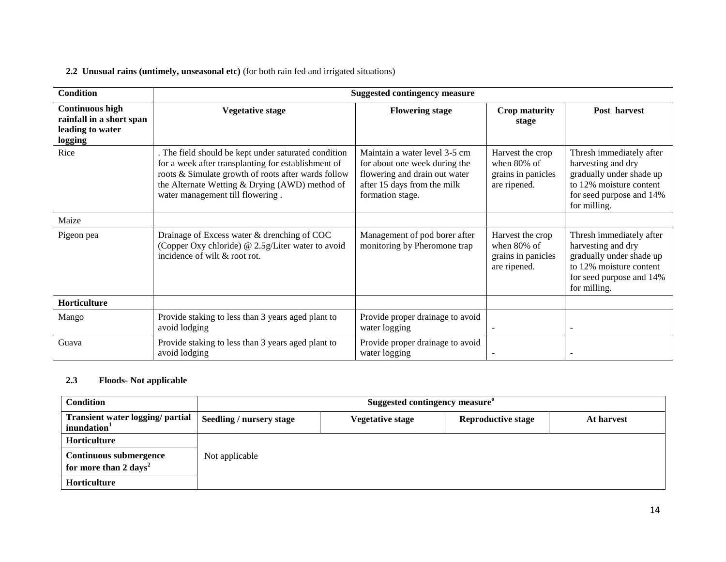#### **2.2 Unusual rains (untimely, unseasonal etc)** (for both rain fed and irrigated situations)

| <b>Condition</b>                                                                  |                                                                                                                                                                                                                                                          | <b>Suggested contingency measure</b>                                                                                                               |                                                                          |                                                                                                                                                   |
|-----------------------------------------------------------------------------------|----------------------------------------------------------------------------------------------------------------------------------------------------------------------------------------------------------------------------------------------------------|----------------------------------------------------------------------------------------------------------------------------------------------------|--------------------------------------------------------------------------|---------------------------------------------------------------------------------------------------------------------------------------------------|
| <b>Continuous high</b><br>rainfall in a short span<br>leading to water<br>logging | Vegetative stage                                                                                                                                                                                                                                         | <b>Flowering stage</b>                                                                                                                             | <b>Crop maturity</b><br>stage                                            | Post harvest                                                                                                                                      |
| Rice                                                                              | . The field should be kept under saturated condition<br>for a week after transplanting for establishment of<br>roots & Simulate growth of roots after wards follow<br>the Alternate Wetting & Drying (AWD) method of<br>water management till flowering. | Maintain a water level 3-5 cm<br>for about one week during the<br>flowering and drain out water<br>after 15 days from the milk<br>formation stage. | Harvest the crop<br>when $80\%$ of<br>grains in panicles<br>are ripened. | Thresh immediately after<br>harvesting and dry<br>gradually under shade up<br>to 12% moisture content<br>for seed purpose and 14%<br>for milling. |
| Maize                                                                             |                                                                                                                                                                                                                                                          |                                                                                                                                                    |                                                                          |                                                                                                                                                   |
| Pigeon pea                                                                        | Drainage of Excess water & drenching of COC<br>(Copper Oxy chloride) @ 2.5g/Liter water to avoid<br>incidence of wilt & root rot.                                                                                                                        | Management of pod borer after<br>monitoring by Pheromone trap                                                                                      | Harvest the crop<br>when 80% of<br>grains in panicles<br>are ripened.    | Thresh immediately after<br>harvesting and dry<br>gradually under shade up<br>to 12% moisture content<br>for seed purpose and 14%<br>for milling. |
| Horticulture                                                                      |                                                                                                                                                                                                                                                          |                                                                                                                                                    |                                                                          |                                                                                                                                                   |
| Mango                                                                             | Provide staking to less than 3 years aged plant to<br>avoid lodging                                                                                                                                                                                      | Provide proper drainage to avoid<br>water logging                                                                                                  |                                                                          |                                                                                                                                                   |
| Guava                                                                             | Provide staking to less than 3 years aged plant to<br>avoid lodging                                                                                                                                                                                      | Provide proper drainage to avoid<br>water logging                                                                                                  |                                                                          |                                                                                                                                                   |

### **2.3 Floods- Not applicable**

| Condition                                                   | Suggested contingency measure <sup>o</sup> |                  |                           |            |
|-------------------------------------------------------------|--------------------------------------------|------------------|---------------------------|------------|
| Transient water logging/ partial<br>inundation <sup>1</sup> | <b>Seedling / nursery stage</b>            | Vegetative stage | <b>Reproductive stage</b> | At harvest |
| <b>Horticulture</b>                                         |                                            |                  |                           |            |
| Continuous submergence<br>for more than 2 days <sup>2</sup> | Not applicable                             |                  |                           |            |
| <b>Horticulture</b>                                         |                                            |                  |                           |            |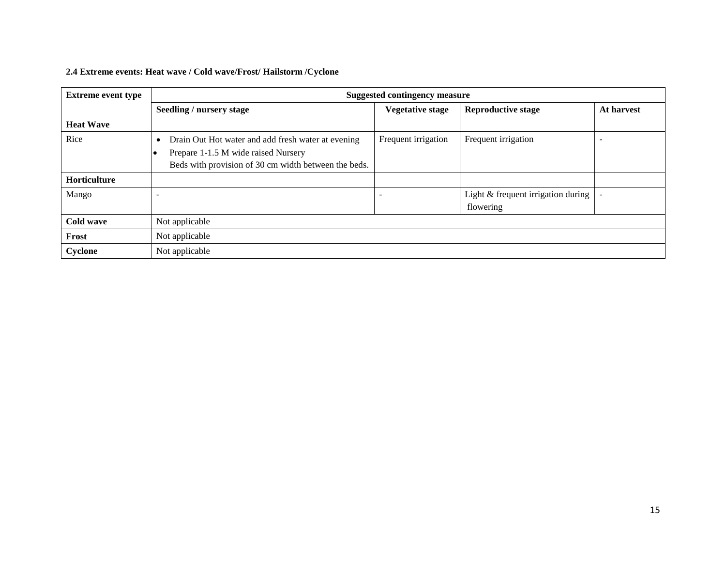### **2.4 Extreme events: Heat wave / Cold wave/Frost/ Hailstorm /Cyclone**

| <b>Extreme event type</b> | <b>Suggested contingency measure</b>                                                                                                                           |                         |                                                   |            |
|---------------------------|----------------------------------------------------------------------------------------------------------------------------------------------------------------|-------------------------|---------------------------------------------------|------------|
|                           | Seedling / nursery stage                                                                                                                                       | <b>Vegetative stage</b> | <b>Reproductive stage</b>                         | At harvest |
| <b>Heat Wave</b>          |                                                                                                                                                                |                         |                                                   |            |
| Rice                      | Drain Out Hot water and add fresh water at evening<br>$\bullet$<br>Prepare 1-1.5 M wide raised Nursery<br>Beds with provision of 30 cm width between the beds. | Frequent irrigation     | Frequent irrigation                               |            |
| Horticulture              |                                                                                                                                                                |                         |                                                   |            |
| Mango                     |                                                                                                                                                                |                         | Light $&$ frequent irrigation during<br>flowering |            |
| <b>Cold wave</b>          | Not applicable                                                                                                                                                 |                         |                                                   |            |
| Frost                     | Not applicable                                                                                                                                                 |                         |                                                   |            |
| Cyclone                   | Not applicable                                                                                                                                                 |                         |                                                   |            |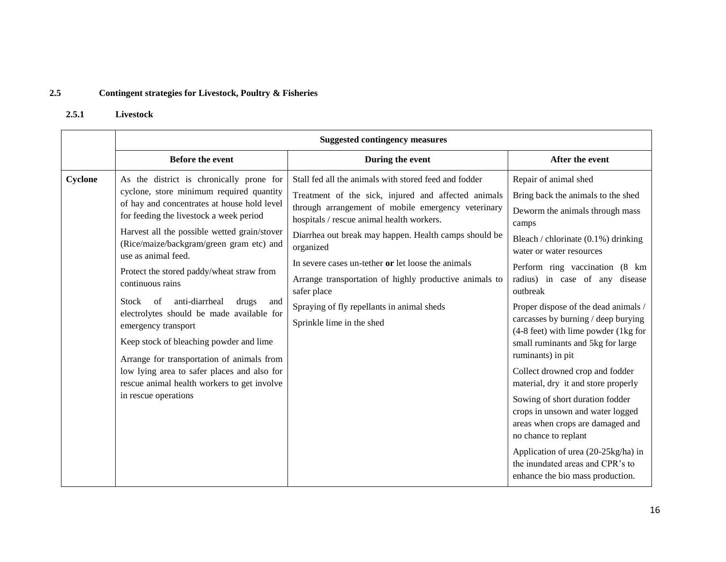#### **2.5 Contingent strategies for Livestock, Poultry & Fisheries**

#### **2.5.1 Livestock**

|         | <b>Suggested contingency measures</b>                                                                                                                                                                                                                                                                                                                                                                                                                                                                                                                                                                                                                                                                  |                                                                                                                                                                                                                                                                                                                                                                                                                                                                                                 |                                                                                                                                                                                                                                                                                                                                                                                                                                                                                                                                                                                                                                                                                                                                                                             |  |
|---------|--------------------------------------------------------------------------------------------------------------------------------------------------------------------------------------------------------------------------------------------------------------------------------------------------------------------------------------------------------------------------------------------------------------------------------------------------------------------------------------------------------------------------------------------------------------------------------------------------------------------------------------------------------------------------------------------------------|-------------------------------------------------------------------------------------------------------------------------------------------------------------------------------------------------------------------------------------------------------------------------------------------------------------------------------------------------------------------------------------------------------------------------------------------------------------------------------------------------|-----------------------------------------------------------------------------------------------------------------------------------------------------------------------------------------------------------------------------------------------------------------------------------------------------------------------------------------------------------------------------------------------------------------------------------------------------------------------------------------------------------------------------------------------------------------------------------------------------------------------------------------------------------------------------------------------------------------------------------------------------------------------------|--|
|         | <b>Before the event</b>                                                                                                                                                                                                                                                                                                                                                                                                                                                                                                                                                                                                                                                                                | During the event                                                                                                                                                                                                                                                                                                                                                                                                                                                                                | After the event                                                                                                                                                                                                                                                                                                                                                                                                                                                                                                                                                                                                                                                                                                                                                             |  |
| Cyclone | As the district is chronically prone for<br>cyclone, store minimum required quantity<br>of hay and concentrates at house hold level<br>for feeding the livestock a week period<br>Harvest all the possible wetted grain/stover<br>(Rice/maize/backgram/green gram etc) and<br>use as animal feed.<br>Protect the stored paddy/wheat straw from<br>continuous rains<br>anti-diarrheal<br>of<br>Stock<br>drugs<br>and<br>electrolytes should be made available for<br>emergency transport<br>Keep stock of bleaching powder and lime<br>Arrange for transportation of animals from<br>low lying area to safer places and also for<br>rescue animal health workers to get involve<br>in rescue operations | Stall fed all the animals with stored feed and fodder<br>Treatment of the sick, injured and affected animals<br>through arrangement of mobile emergency veterinary<br>hospitals / rescue animal health workers.<br>Diarrhea out break may happen. Health camps should be<br>organized<br>In severe cases un-tether or let loose the animals<br>Arrange transportation of highly productive animals to<br>safer place<br>Spraying of fly repellants in animal sheds<br>Sprinkle lime in the shed | Repair of animal shed<br>Bring back the animals to the shed<br>Deworm the animals through mass<br>camps<br>Bleach / chlorinate $(0.1\%)$ drinking<br>water or water resources<br>Perform ring vaccination (8 km)<br>radius) in case of any disease<br>outbreak<br>Proper dispose of the dead animals /<br>carcasses by burning / deep burying<br>(4-8 feet) with lime powder (1kg for<br>small ruminants and 5kg for large<br>ruminants) in pit<br>Collect drowned crop and fodder<br>material, dry it and store properly<br>Sowing of short duration fodder<br>crops in unsown and water logged<br>areas when crops are damaged and<br>no chance to replant<br>Application of urea (20-25kg/ha) in<br>the inundated areas and CPR's to<br>enhance the bio mass production. |  |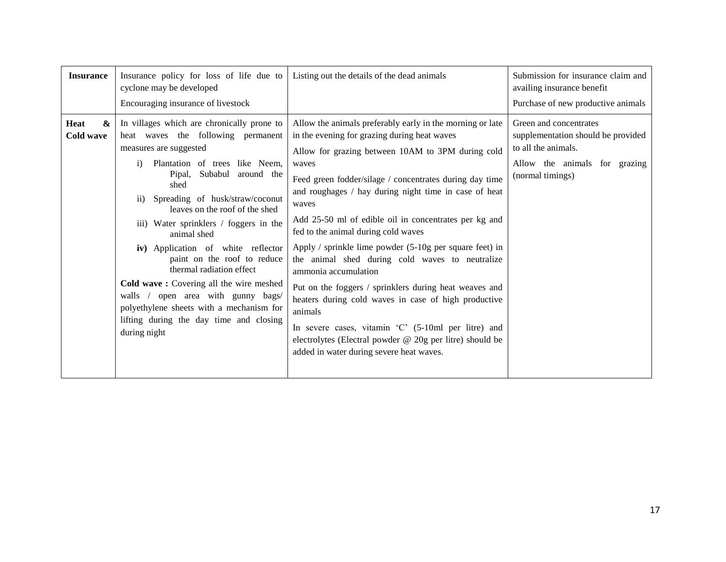| <b>Insurance</b>                       | Insurance policy for loss of life due to<br>cyclone may be developed<br>Encouraging insurance of livestock                                                                                                                                                                                                                                                                                                                                                                                                                                                                                                                            | Listing out the details of the dead animals                                                                                                                                                                                                                                                                                                                                                                                                                                                                                                                                                                                                                                                                                                                                                                                                | Submission for insurance claim and<br>availing insurance benefit<br>Purchase of new productive animals                                   |
|----------------------------------------|---------------------------------------------------------------------------------------------------------------------------------------------------------------------------------------------------------------------------------------------------------------------------------------------------------------------------------------------------------------------------------------------------------------------------------------------------------------------------------------------------------------------------------------------------------------------------------------------------------------------------------------|--------------------------------------------------------------------------------------------------------------------------------------------------------------------------------------------------------------------------------------------------------------------------------------------------------------------------------------------------------------------------------------------------------------------------------------------------------------------------------------------------------------------------------------------------------------------------------------------------------------------------------------------------------------------------------------------------------------------------------------------------------------------------------------------------------------------------------------------|------------------------------------------------------------------------------------------------------------------------------------------|
| $\mathbf{\alpha}$<br>Heat<br>Cold wave | In villages which are chronically prone to<br>heat waves the following permanent<br>measures are suggested<br>Plantation of trees like Neem,<br>$\mathbf{i}$<br>Pipal, Subabul around the<br>shed<br>Spreading of husk/straw/coconut<br>$\rm ii)$<br>leaves on the roof of the shed<br>iii) Water sprinklers / foggers in the<br>animal shed<br>iv) Application of white reflector<br>paint on the roof to reduce<br>thermal radiation effect<br>Cold wave: Covering all the wire meshed<br>walls / open area with gunny bags/<br>polyethylene sheets with a mechanism for<br>lifting during the day time and closing<br>during night | Allow the animals preferably early in the morning or late<br>in the evening for grazing during heat waves<br>Allow for grazing between 10AM to 3PM during cold<br>waves<br>Feed green fodder/silage / concentrates during day time<br>and roughages / hay during night time in case of heat<br>waves<br>Add 25-50 ml of edible oil in concentrates per kg and<br>fed to the animal during cold waves<br>Apply / sprinkle lime powder $(5-10)$ g per square feet) in<br>the animal shed during cold waves to neutralize<br>ammonia accumulation<br>Put on the foggers / sprinklers during heat weaves and<br>heaters during cold waves in case of high productive<br>animals<br>In severe cases, vitamin 'C' (5-10ml per litre) and<br>electrolytes (Electral powder @ 20g per litre) should be<br>added in water during severe heat waves. | Green and concentrates<br>supplementation should be provided<br>to all the animals.<br>Allow the animals for grazing<br>(normal timings) |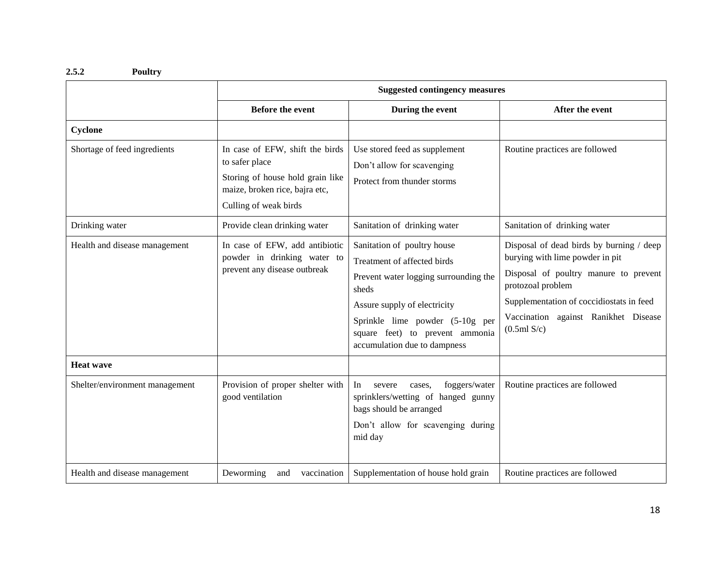### **2.5.2 Poultry**

|                                | <b>Suggested contingency measures</b>                                                                                                            |                                                                                                                                                                                                                                                    |                                                                                                                                                                                                                                              |
|--------------------------------|--------------------------------------------------------------------------------------------------------------------------------------------------|----------------------------------------------------------------------------------------------------------------------------------------------------------------------------------------------------------------------------------------------------|----------------------------------------------------------------------------------------------------------------------------------------------------------------------------------------------------------------------------------------------|
|                                | <b>Before the event</b>                                                                                                                          | During the event                                                                                                                                                                                                                                   | After the event                                                                                                                                                                                                                              |
| Cyclone                        |                                                                                                                                                  |                                                                                                                                                                                                                                                    |                                                                                                                                                                                                                                              |
| Shortage of feed ingredients   | In case of EFW, shift the birds<br>to safer place<br>Storing of house hold grain like<br>maize, broken rice, bajra etc,<br>Culling of weak birds | Use stored feed as supplement<br>Don't allow for scavenging<br>Protect from thunder storms                                                                                                                                                         | Routine practices are followed                                                                                                                                                                                                               |
| Drinking water                 | Provide clean drinking water                                                                                                                     | Sanitation of drinking water                                                                                                                                                                                                                       | Sanitation of drinking water                                                                                                                                                                                                                 |
| Health and disease management  | In case of EFW, add antibiotic<br>powder in drinking water to<br>prevent any disease outbreak                                                    | Sanitation of poultry house<br>Treatment of affected birds<br>Prevent water logging surrounding the<br>sheds<br>Assure supply of electricity<br>Sprinkle lime powder (5-10g per<br>square feet) to prevent ammonia<br>accumulation due to dampness | Disposal of dead birds by burning / deep<br>burying with lime powder in pit<br>Disposal of poultry manure to prevent<br>protozoal problem<br>Supplementation of coccidiostats in feed<br>Vaccination against Ranikhet Disease<br>(0.5ml S/c) |
| <b>Heat wave</b>               |                                                                                                                                                  |                                                                                                                                                                                                                                                    |                                                                                                                                                                                                                                              |
| Shelter/environment management | Provision of proper shelter with<br>good ventilation                                                                                             | foggers/water<br>In<br>severe<br>cases.<br>sprinklers/wetting of hanged gunny<br>bags should be arranged<br>Don't allow for scavenging during<br>mid day                                                                                           | Routine practices are followed                                                                                                                                                                                                               |
| Health and disease management  | Deworming<br>vaccination<br>and                                                                                                                  | Supplementation of house hold grain                                                                                                                                                                                                                | Routine practices are followed                                                                                                                                                                                                               |